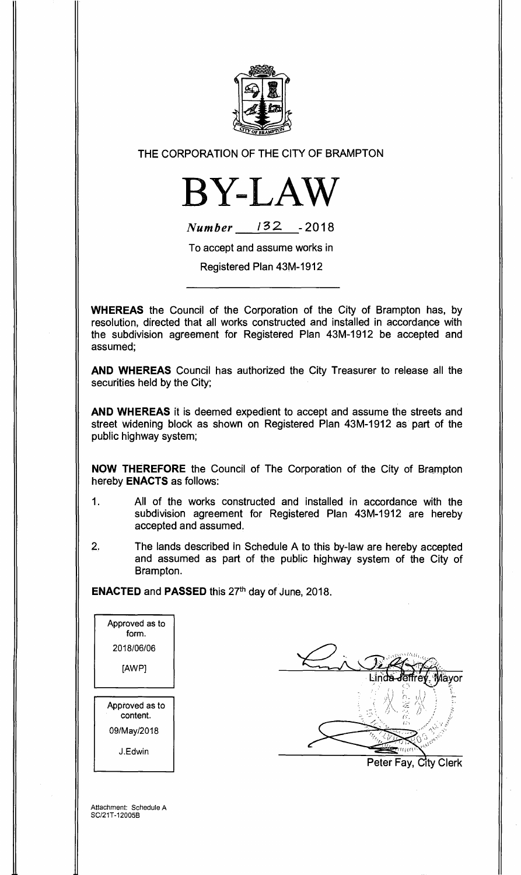

## THE CORPORATION OF THE CITY OF BRAMPTON



| <b>Number</b> | 132 | $-2018$ |
|---------------|-----|---------|
|               |     |         |

To accept and assume works in

Registered Plan 43M-1912

**WHEREAS** the Council of the Corporation of the City of Brampton has, by resolution, directed that all works constructed and installed in accordance with the subdivision agreement for Registered Plan 43M-1912 be accepted and assumed;

**AND WHEREAS** Council has authorized the City Treasurer to release all the securities held by the City;

**AND WHEREAS** it is deemed expedient to accept and assume the streets and street widening block as shown on Registered Plan 43M-1912 as part of the public highway system;

**NOW THEREFORE** the Council of The Corporation of the City of Brampton hereby **ENACTS** as follows:

- 1. All of the works constructed and installed in accordance with the subdivision agreement for Registered Plan 43M-1912 are hereby accepted and assumed.
- 2. The lands described in Schedule A to this by-law are hereby accepted and assumed as part of the public highway system of the City of Brampton.

**ENACTED and PASSED this 27th day of June, 2018.** 

| Approved as to<br>form.    |                                |
|----------------------------|--------------------------------|
| 2018/06/06                 |                                |
| [AWP]                      | Aayor<br>inda-Jēffre           |
| Approved as to<br>content. | É,                             |
| 09/May/2018                | ω'n                            |
| J.Edwin                    | тңесі<br>Peter Fay, City Clerk |
|                            |                                |

Attachment: Schedule A SC/21T-12005B